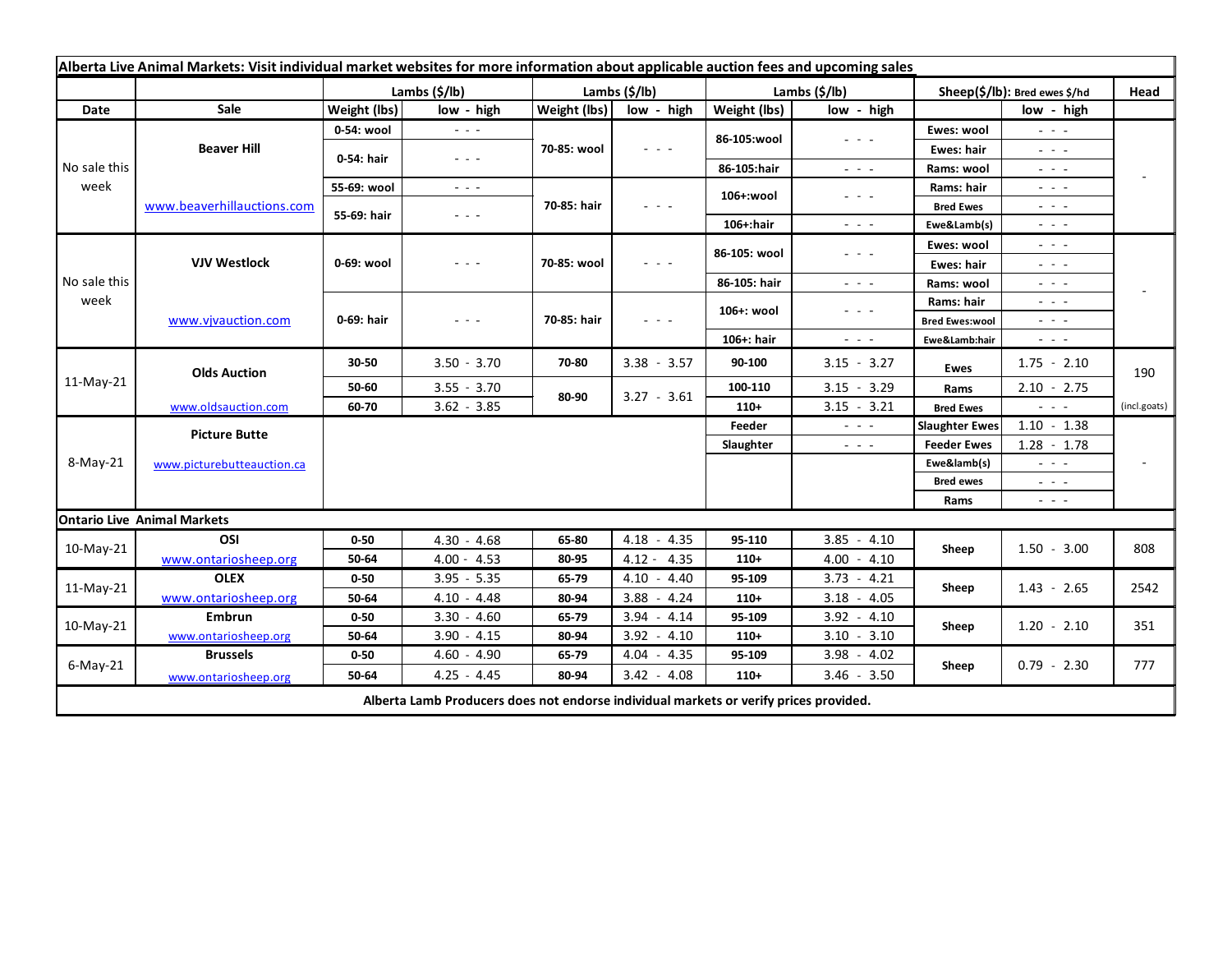| Alberta Live Animal Markets: Visit individual market websites for more information about applicable auction fees and upcoming sales |                                    |               |                                                           |               |                                                                                                                        |                       |                                                                                                                           |                               |                                                        |              |
|-------------------------------------------------------------------------------------------------------------------------------------|------------------------------------|---------------|-----------------------------------------------------------|---------------|------------------------------------------------------------------------------------------------------------------------|-----------------------|---------------------------------------------------------------------------------------------------------------------------|-------------------------------|--------------------------------------------------------|--------------|
|                                                                                                                                     |                                    | Lambs (\$/lb) |                                                           | Lambs (\$/lb) |                                                                                                                        | Lambs $(\frac{2}{3})$ |                                                                                                                           | Sheep(\$/lb): Bred ewes \$/hd |                                                        | Head         |
| Date                                                                                                                                | Sale                               | Weight (lbs)  | low - high                                                | Weight (lbs)  | low - high                                                                                                             | Weight (lbs)          | low - high                                                                                                                |                               | low - high                                             |              |
| No sale this<br>week                                                                                                                | <b>Beaver Hill</b>                 | 0-54: wool    | $\frac{1}{2}$ , $\frac{1}{2}$                             | 70-85: wool   | $  -$                                                                                                                  | 86-105:wool           | $\frac{1}{2} \left( \frac{1}{2} \right) \frac{1}{2} \left( \frac{1}{2} \right) \frac{1}{2} \left( \frac{1}{2} \right)$    | Ewes: wool                    | $\omega_{\rm c}$ , $\omega_{\rm c}$ , $\omega_{\rm c}$ |              |
|                                                                                                                                     |                                    | 0-54: hair    | $\omega_{\rm{c}} = 1/2$                                   |               |                                                                                                                        |                       |                                                                                                                           | Ewes: hair                    | 20202                                                  |              |
|                                                                                                                                     |                                    |               |                                                           |               |                                                                                                                        | 86-105:hair           | $\sim$ $ \sim$                                                                                                            | Rams: wool                    | الداريد                                                |              |
|                                                                                                                                     | www.beaverhillauctions.com         | 55-69: wool   | $\omega_{\rm{c}}$ , $\omega_{\rm{c}}$ , $\omega_{\rm{c}}$ | 70-85: hair   | $  -$                                                                                                                  | 106+:wool             | - - -                                                                                                                     | Rams: hair                    | $  -$                                                  |              |
|                                                                                                                                     |                                    | 55-69: hair   | $  -$                                                     |               |                                                                                                                        |                       |                                                                                                                           | <b>Bred Ewes</b>              | $  -$                                                  |              |
|                                                                                                                                     |                                    |               |                                                           |               |                                                                                                                        | $106+$ :hair          | $\sim$ $ \sim$                                                                                                            | Ewe&Lamb(s)                   | $\sim$ $ \sim$                                         |              |
| No sale this<br>week                                                                                                                | <b>VJV Westlock</b>                | 0-69: wool    | - - -                                                     | 70-85: wool   | $\frac{1}{2} \left( \frac{1}{2} \right) \frac{1}{2} \left( \frac{1}{2} \right) \frac{1}{2} \left( \frac{1}{2} \right)$ | 86-105: wool          | - - -                                                                                                                     | Ewes: wool                    | $\omega_{\rm{eff}}=0.1$                                |              |
|                                                                                                                                     |                                    |               |                                                           |               |                                                                                                                        |                       |                                                                                                                           | Ewes: hair                    | $\mathbb{Z}^2 \times \mathbb{Z}^2$                     |              |
|                                                                                                                                     |                                    |               |                                                           |               |                                                                                                                        | 86-105: hair          | $\frac{1}{2} \left( \frac{1}{2} \right) \left( \frac{1}{2} \right) \left( \frac{1}{2} \right) \left( \frac{1}{2} \right)$ | Rams: wool                    | الداريد                                                |              |
|                                                                                                                                     | www.vjvauction.com                 | 0-69: hair    | $- - -$                                                   | 70-85: hair   | $  -$                                                                                                                  | 106+: wool            | $  -$                                                                                                                     | Rams: hair                    | $  -$                                                  |              |
|                                                                                                                                     |                                    |               |                                                           |               |                                                                                                                        |                       |                                                                                                                           | <b>Bred Ewes:wool</b>         | $  -$                                                  |              |
|                                                                                                                                     |                                    |               |                                                           |               |                                                                                                                        | 106+: hair            | $\sim$ 10 $\sim$ 10 $\sim$                                                                                                | Ewe&Lamb:hair                 | $\sim$ $\sim$ $\sim$                                   |              |
| 11-May-21                                                                                                                           | <b>Olds Auction</b>                | 30-50         | $3.50 - 3.70$                                             | 70-80         | $3.38 - 3.57$                                                                                                          | 90-100                | $3.15 - 3.27$                                                                                                             | <b>Ewes</b>                   | $1.75 - 2.10$                                          | 190          |
|                                                                                                                                     |                                    | 50-60         | $3.55 - 3.70$                                             | 80-90         | $3.27 - 3.61$                                                                                                          | 100-110               | $3.15 - 3.29$                                                                                                             | Rams                          | $2.10 - 2.75$                                          |              |
|                                                                                                                                     | www.oldsauction.com                | 60-70         | $3.62 - 3.85$                                             |               |                                                                                                                        | $110+$                | $3.15 - 3.21$                                                                                                             | <b>Bred Ewes</b>              | $\omega_{\rm{max}}$ and $\omega_{\rm{max}}$            | (incl.goats) |
| 8-May-21                                                                                                                            | <b>Picture Butte</b>               |               |                                                           |               |                                                                                                                        |                       | $  -$                                                                                                                     | <b>Slaughter Ewes</b>         | $1.10 - 1.38$                                          |              |
|                                                                                                                                     | www.picturebutteauction.ca         |               |                                                           |               |                                                                                                                        | Slaughter             | $\omega_{\rm{c}}$ , $\omega_{\rm{c}}$ , $\omega_{\rm{c}}$                                                                 | <b>Feeder Ewes</b>            | $1.28 - 1.78$                                          |              |
|                                                                                                                                     |                                    |               |                                                           |               |                                                                                                                        |                       |                                                                                                                           | Ewe&lamb(s)                   | $\omega_{\rm{eff}}=0.05$                               |              |
|                                                                                                                                     |                                    |               |                                                           |               |                                                                                                                        |                       |                                                                                                                           | <b>Bred ewes</b>              | $\omega_{\rm{eff}}$ and $\omega_{\rm{eff}}$            |              |
|                                                                                                                                     |                                    |               |                                                           |               |                                                                                                                        |                       |                                                                                                                           | Rams                          | $\omega_{\rm{eff}}$ and $\omega_{\rm{eff}}$            |              |
|                                                                                                                                     | <b>Ontario Live Animal Markets</b> |               |                                                           |               |                                                                                                                        |                       |                                                                                                                           |                               |                                                        |              |
| 10-May-21                                                                                                                           | OSI                                | $0 - 50$      | $4.30 - 4.68$                                             | 65-80         | $4.18 - 4.35$                                                                                                          | 95-110                | $3.85 - 4.10$                                                                                                             | Sheep                         | $1.50 - 3.00$                                          | 808          |
|                                                                                                                                     | www.ontariosheep.org               | 50-64         | $4.00 - 4.53$                                             | 80-95         | $4.12 - 4.35$                                                                                                          | $110+$                | $4.00 - 4.10$                                                                                                             |                               |                                                        |              |
| $11-May-21$                                                                                                                         | <b>OLEX</b>                        | $0 - 50$      | $3.95 - 5.35$                                             | 65-79         | $4.10 - 4.40$                                                                                                          | 95-109                | $3.73 - 4.21$                                                                                                             | Sheep                         | $1.43 - 2.65$                                          | 2542         |
|                                                                                                                                     | www.ontariosheep.org               | 50-64         | $4.10 - 4.48$                                             | 80-94         | $3.88 - 4.24$                                                                                                          | $110+$                | $3.18 - 4.05$                                                                                                             |                               |                                                        |              |
| $10-May-21$                                                                                                                         | <b>Embrun</b>                      | $0 - 50$      | $3.30 - 4.60$                                             | 65-79         | $3.94 - 4.14$                                                                                                          | 95-109                | $3.92 - 4.10$                                                                                                             | Sheep                         | $1.20 - 2.10$                                          | 351          |
| $6$ -May-21                                                                                                                         | www.ontariosheep.org               | 50-64         | $3.90 - 4.15$                                             | 80-94         | $3.92 - 4.10$                                                                                                          | $110+$                | $3.10 - 3.10$                                                                                                             |                               |                                                        |              |
|                                                                                                                                     | <b>Brussels</b>                    | $0 - 50$      | $4.60 - 4.90$                                             | 65-79         | $4.04 - 4.35$                                                                                                          | 95-109                | $3.98 - 4.02$                                                                                                             | Sheep                         | $0.79 - 2.30$                                          | 777          |
| $4.25 - 4.45$<br>$3.42 - 4.08$<br>110+<br>$3.46 - 3.50$<br>50-64<br>80-94<br>www.ontariosheep.org                                   |                                    |               |                                                           |               |                                                                                                                        |                       |                                                                                                                           |                               |                                                        |              |
| Alberta Lamb Producers does not endorse individual markets or verify prices provided.                                               |                                    |               |                                                           |               |                                                                                                                        |                       |                                                                                                                           |                               |                                                        |              |